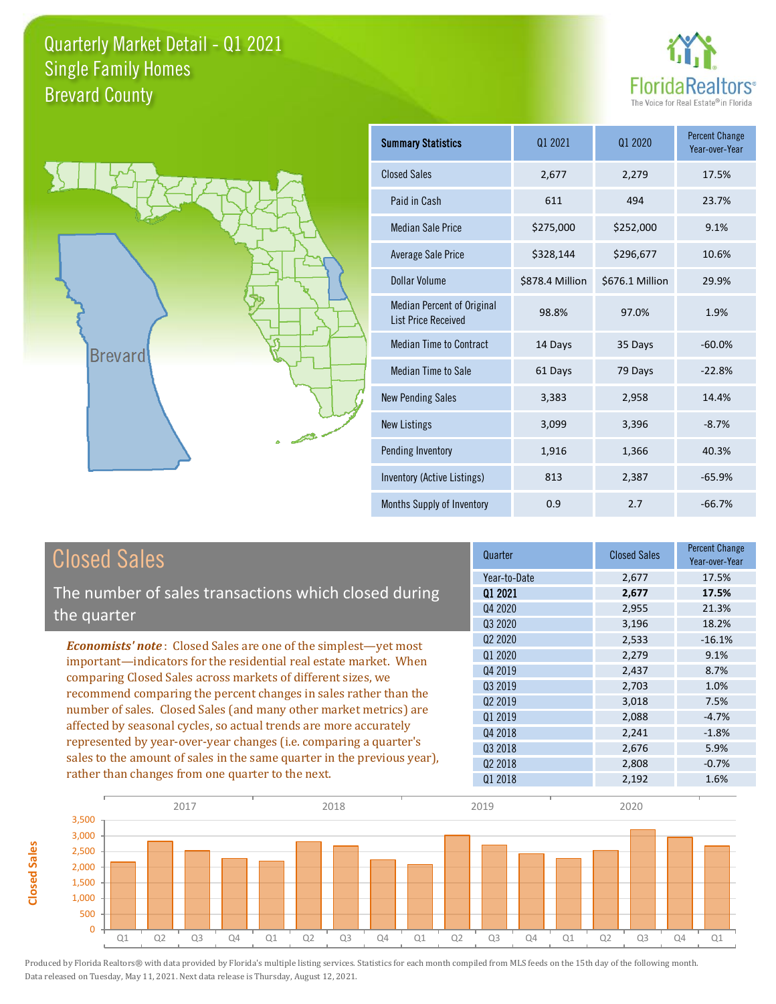



**Closed Sales**

**Closed Sales** 

| <b>Summary Statistics</b>                                       | 01 2021         | 01 2020         | <b>Percent Change</b><br>Year-over-Year |
|-----------------------------------------------------------------|-----------------|-----------------|-----------------------------------------|
| <b>Closed Sales</b>                                             | 2,677           | 2,279           | 17.5%                                   |
| Paid in Cash                                                    | 611             | 494             | 23.7%                                   |
| <b>Median Sale Price</b>                                        | \$275,000       | \$252,000       | 9.1%                                    |
| Average Sale Price                                              | \$328,144       | \$296,677       | 10.6%                                   |
| Dollar Volume                                                   | \$878.4 Million | \$676.1 Million | 29.9%                                   |
| <b>Median Percent of Original</b><br><b>List Price Received</b> | 98.8%           | 97.0%           | 1.9%                                    |
| <b>Median Time to Contract</b>                                  | 14 Days         | 35 Days         | $-60.0%$                                |
| Median Time to Sale                                             | 61 Days         | 79 Days         | $-22.8%$                                |
| <b>New Pending Sales</b>                                        | 3,383           | 2,958           | 14.4%                                   |
| <b>New Listings</b>                                             | 3,099           | 3,396           | $-8.7%$                                 |
| Pending Inventory                                               | 1,916           | 1,366           | 40.3%                                   |
| Inventory (Active Listings)                                     | 813             | 2,387           | $-65.9%$                                |
| Months Supply of Inventory                                      | 0.9             | 2.7             | $-66.7%$                                |

| <b>Closed Sales</b>                                                                                                                                                                                   | Quarter             | <b>Closed Sales</b> | <b>Percent Change</b><br>Year-over-Year |
|-------------------------------------------------------------------------------------------------------------------------------------------------------------------------------------------------------|---------------------|---------------------|-----------------------------------------|
|                                                                                                                                                                                                       | Year-to-Date        | 2,677               | 17.5%                                   |
| The number of sales transactions which closed during                                                                                                                                                  | 01 2021             | 2,677               | 17.5%                                   |
| the quarter                                                                                                                                                                                           | Q4 2020             | 2,955               | 21.3%                                   |
|                                                                                                                                                                                                       | 03 20 20            | 3,196               | 18.2%                                   |
| <b>Economists' note:</b> Closed Sales are one of the simplest—yet most                                                                                                                                | Q <sub>2</sub> 2020 | 2,533               | $-16.1%$                                |
| important—indicators for the residential real estate market. When<br>comparing Closed Sales across markets of different sizes, we<br>recommend comparing the percent changes in sales rather than the | Q1 2020             | 2,279               | 9.1%                                    |
|                                                                                                                                                                                                       | Q4 2019             | 2,437               | 8.7%                                    |
|                                                                                                                                                                                                       | Q3 2019             | 2,703               | 1.0%                                    |
|                                                                                                                                                                                                       | Q <sub>2</sub> 2019 | 3,018               | 7.5%                                    |
| number of sales. Closed Sales (and many other market metrics) are                                                                                                                                     | 01 2019             | 2,088               | $-4.7%$                                 |
| affected by seasonal cycles, so actual trends are more accurately                                                                                                                                     | Q4 2018             | 2,241               | $-1.8%$                                 |
| represented by year-over-year changes (i.e. comparing a quarter's                                                                                                                                     | Q3 2018             | 2,676               | 5.9%                                    |
| sales to the amount of sales in the same quarter in the previous year),                                                                                                                               | 02 2018             | 2,808               | $-0.7%$                                 |
| rather than changes from one quarter to the next.                                                                                                                                                     | 01 2018             | 2,192               | 1.6%                                    |

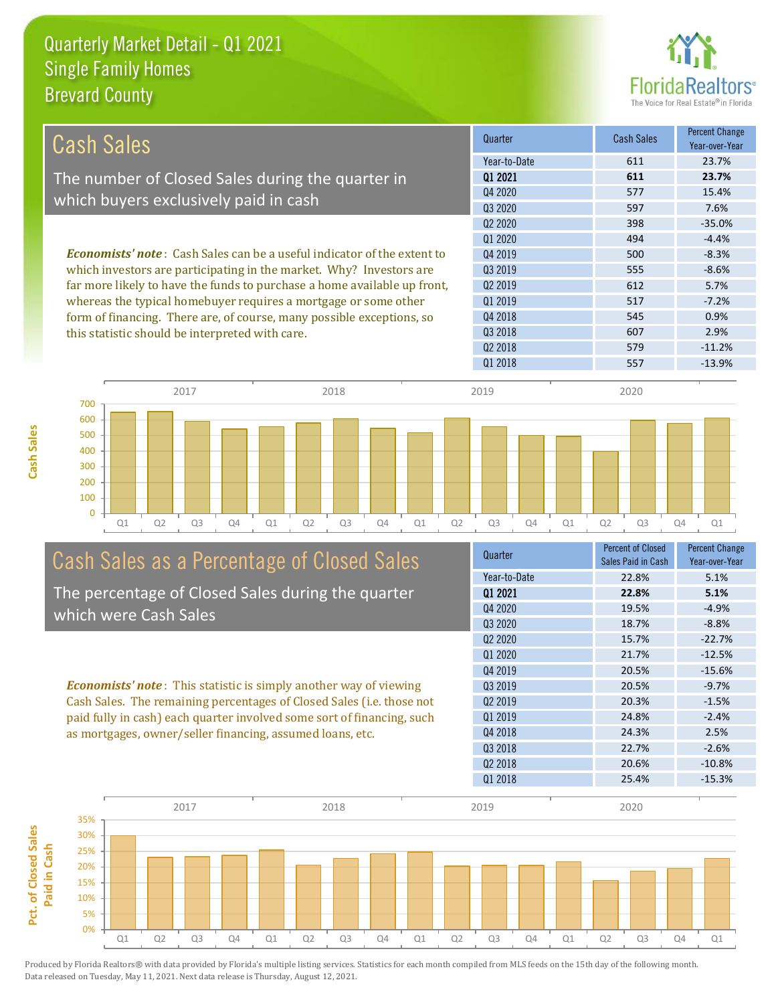

| Cash Sales                                                                     | Quarter             | <b>Cash Sales</b> | <b>Percent Change</b><br>Year-over-Year |
|--------------------------------------------------------------------------------|---------------------|-------------------|-----------------------------------------|
|                                                                                | Year-to-Date        | 611               | 23.7%                                   |
| The number of Closed Sales during the quarter in                               | 01 2021             | 611               | 23.7%                                   |
|                                                                                | Q4 2020             | 577               | 15.4%                                   |
| which buyers exclusively paid in cash                                          | 03 20 20            | 597               | 7.6%                                    |
|                                                                                | 02 2020             | 398               | $-35.0%$                                |
|                                                                                | 01 2020             | 494               | $-4.4%$                                 |
| <b>Economists' note:</b> Cash Sales can be a useful indicator of the extent to | Q4 2019             | 500               | $-8.3%$                                 |
| which investors are participating in the market. Why? Investors are            | 03 2019             | 555               | $-8.6%$                                 |
| far more likely to have the funds to purchase a home available up front,       | Q <sub>2</sub> 2019 | 612               | 5.7%                                    |
| whereas the typical homebuyer requires a mortgage or some other                | 01 2019             | 517               | $-7.2%$                                 |
| form of financing. There are, of course, many possible exceptions, so          | Q4 2018             | 545               | 0.9%                                    |
| this statistic should be interpreted with care.                                | Q3 2018             | 607               | 2.9%                                    |
|                                                                                | Q <sub>2</sub> 2018 | 579               | $-11.2%$                                |



## Cash Sales as a Percentage of Closed Sales

The percentage of Closed Sales during the quarter which were Cash Sales

*Economists' note* : This statistic is simply another way of viewing Cash Sales. The remaining percentages of Closed Sales (i.e. those not paid fully in cash) each quarter involved some sort of financing, such as mortgages, owner/seller financing, assumed loans, etc.



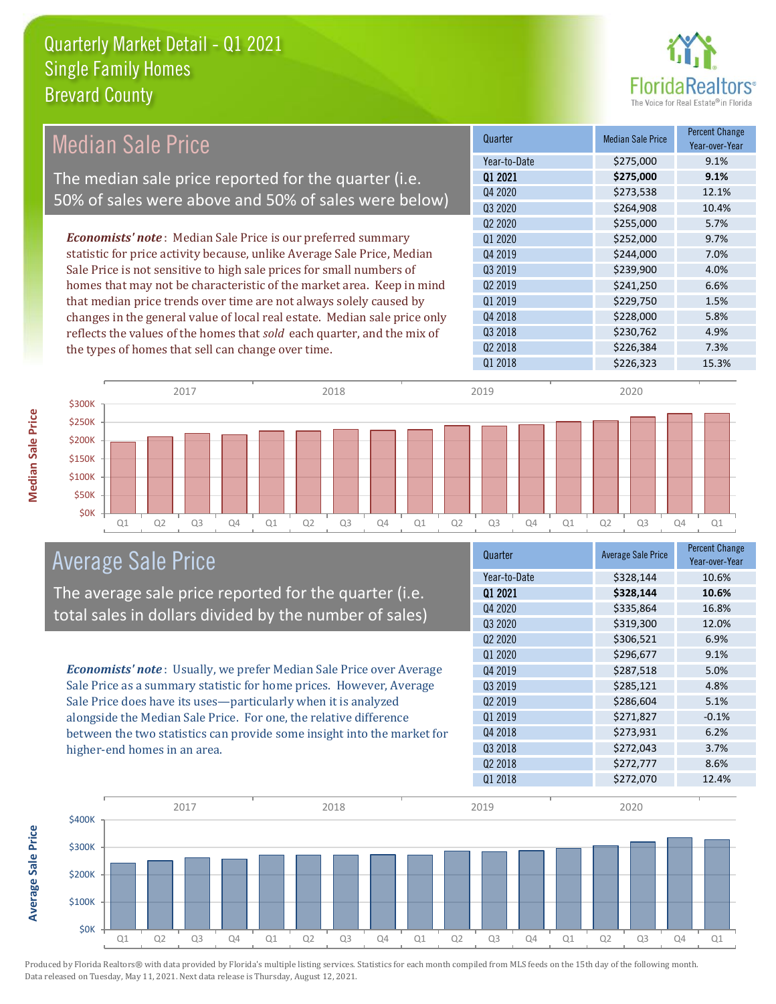

| Median Sale Price                                                         | Quarter                         | <b>Median Sale Price</b> | <b>Percent Change</b><br>Year-over-Year |
|---------------------------------------------------------------------------|---------------------------------|--------------------------|-----------------------------------------|
|                                                                           | Year-to-Date                    | \$275,000                | 9.1%                                    |
| The median sale price reported for the quarter (i.e.                      | 01 2021                         | \$275,000                | 9.1%                                    |
| 50% of sales were above and 50% of sales were below)                      | Q4 2020                         | \$273,538                | 12.1%                                   |
|                                                                           | Q3 2020                         | \$264,908                | 10.4%                                   |
|                                                                           | Q <sub>2</sub> 20 <sub>20</sub> | \$255,000                | 5.7%                                    |
| <b>Economists' note:</b> Median Sale Price is our preferred summary       | Q1 2020                         | \$252,000                | 9.7%                                    |
| statistic for price activity because, unlike Average Sale Price, Median   | Q4 2019                         | \$244,000                | 7.0%                                    |
| Sale Price is not sensitive to high sale prices for small numbers of      | Q3 2019                         | \$239,900                | 4.0%                                    |
| homes that may not be characteristic of the market area. Keep in mind     | Q <sub>2</sub> 2019             | \$241,250                | 6.6%                                    |
| that median price trends over time are not always solely caused by        | Q1 2019                         | \$229,750                | 1.5%                                    |
| changes in the general value of local real estate. Median sale price only | Q4 2018                         | \$228,000                | 5.8%                                    |
| reflects the values of the homes that sold each quarter, and the mix of   | Q3 2018                         | \$230,762                | 4.9%                                    |
| the types of homes that sell can change over time.                        | Q <sub>2</sub> 2018             | \$226,384                | 7.3%                                    |
|                                                                           | Q1 2018                         | \$226,323                | 15.3%                                   |
| 2017<br>2018<br>\$300K                                                    | 2019                            | 2020                     |                                         |
| <b>\$250K</b>                                                             |                                 |                          |                                         |

Q1 Q2 Q3 Q4 Q1 Q2 Q3 Q4 Q1 Q2 Q3 Q4 Q1 Q2 Q3 Q4 Q1



The average sale price reported for the quarter (i.e. total sales in dollars divided by the number of sales)

*Economists' note* : Usually, we prefer Median Sale Price over Average Sale Price as a summary statistic for home prices. However, Average Sale Price does have its uses—particularly when it is analyzed alongside the Median Sale Price. For one, the relative difference between the two statistics can provide some insight into the market for higher-end homes in an area.

| Quarter                         | <b>Average Sale Price</b> | <b>Percent Change</b><br>Year-over-Year |
|---------------------------------|---------------------------|-----------------------------------------|
| Year-to-Date                    | \$328,144                 | 10.6%                                   |
| 01 2021                         | \$328,144                 | 10.6%                                   |
| Q4 2020                         | \$335,864                 | 16.8%                                   |
| Q3 2020                         | \$319,300                 | 12.0%                                   |
| Q <sub>2</sub> 20 <sub>20</sub> | \$306,521                 | 6.9%                                    |
| Q1 2020                         | \$296,677                 | 9.1%                                    |
| Q4 2019                         | \$287,518                 | 5.0%                                    |
| 03 2019                         | \$285,121                 | 4.8%                                    |
| 02 2019                         | \$286,604                 | 5.1%                                    |
| Q1 2019                         | \$271,827                 | $-0.1%$                                 |
| Q4 2018                         | \$273,931                 | 6.2%                                    |
| Q3 2018                         | \$272,043                 | 3.7%                                    |
| Q2 2018                         | \$272,777                 | 8.6%                                    |
| Q1 2018                         | \$272,070                 | 12.4%                                   |



Median Sale Price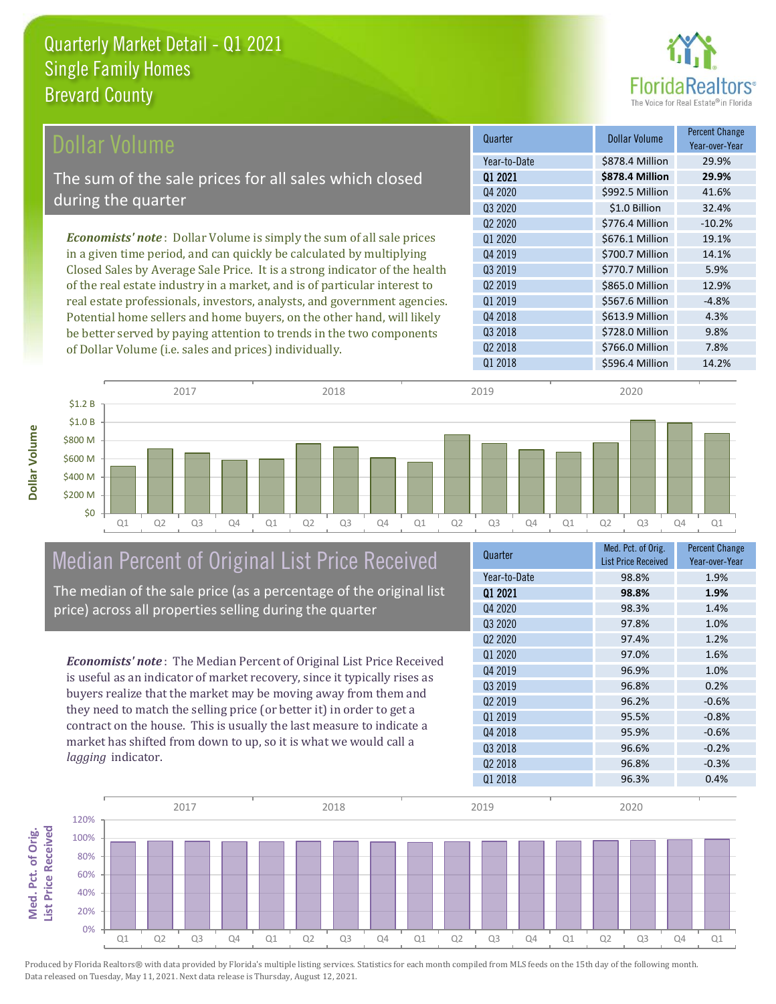

| Dollar Volume                                                                | Quarter             | <b>Dollar Volume</b> | <b>Percent Change</b><br>Year-over-Year |
|------------------------------------------------------------------------------|---------------------|----------------------|-----------------------------------------|
|                                                                              | Year-to-Date        | \$878.4 Million      | 29.9%                                   |
| The sum of the sale prices for all sales which closed                        | 01 2021             | \$878.4 Million      | 29.9%                                   |
|                                                                              | Q4 2020             | \$992.5 Million      | 41.6%                                   |
| during the quarter                                                           | Q3 2020             | \$1.0 Billion        | 32.4%                                   |
|                                                                              | Q <sub>2</sub> 2020 | \$776.4 Million      | $-10.2%$                                |
| <b>Economists' note</b> : Dollar Volume is simply the sum of all sale prices | Q1 2020             | \$676.1 Million      | 19.1%                                   |
| in a given time period, and can quickly be calculated by multiplying         | Q4 2019             | \$700.7 Million      | 14.1%                                   |
| Closed Sales by Average Sale Price. It is a strong indicator of the health   | Q3 2019             | \$770.7 Million      | 5.9%                                    |
| of the real estate industry in a market, and is of particular interest to    | Q <sub>2</sub> 2019 | \$865.0 Million      | 12.9%                                   |
| real estate professionals, investors, analysts, and government agencies.     | Q1 2019             | \$567.6 Million      | $-4.8%$                                 |
| Potential home sellers and home buyers, on the other hand, will likely       | Q4 2018             | \$613.9 Million      | 4.3%                                    |
| be better served by paying attention to trends in the two components         | Q3 2018             | \$728.0 Million      | 9.8%                                    |
| of Dollar Volume (i.e. sales and prices) individually.                       | Q <sub>2</sub> 2018 | \$766.0 Million      | 7.8%                                    |



## Median Percent of Original List Price Received

The median of the sale price (as a percentage of the original list price) across all properties selling during the quarter

*Economists' note* : The Median Percent of Original List Price Received is useful as an indicator of market recovery, since it typically rises as buyers realize that the market may be moving away from them and they need to match the selling price (or better it) in order to get a contract on the house. This is usually the last measure to indicate a market has shifted from down to up, so it is what we would call a

| Quarter                         | Med. Pct. of Orig.<br><b>List Price Received</b> | <b>Percent Change</b><br>Year-over-Year |
|---------------------------------|--------------------------------------------------|-----------------------------------------|
| Year-to-Date                    | 98.8%                                            | 1.9%                                    |
| 01 2021                         | 98.8%                                            | 1.9%                                    |
| Q4 2020                         | 98.3%                                            | 1.4%                                    |
| Q3 2020                         | 97.8%                                            | 1.0%                                    |
| Q <sub>2</sub> 20 <sub>20</sub> | 97.4%                                            | 1.2%                                    |
| 01 2020                         | 97.0%                                            | 1.6%                                    |
| Q4 2019                         | 96.9%                                            | 1.0%                                    |
| 03 2019                         | 96.8%                                            | 0.2%                                    |
| Q <sub>2</sub> 2019             | 96.2%                                            | $-0.6%$                                 |
| Q1 2019                         | 95.5%                                            | $-0.8%$                                 |
| Q4 2018                         | 95.9%                                            | $-0.6%$                                 |
| Q3 2018                         | 96.6%                                            | $-0.2%$                                 |
| Q <sub>2</sub> 2018             | 96.8%                                            | $-0.3%$                                 |
| Q1 2018                         | 96.3%                                            | 0.4%                                    |



*lagging* indicator.

**Dollar Volume**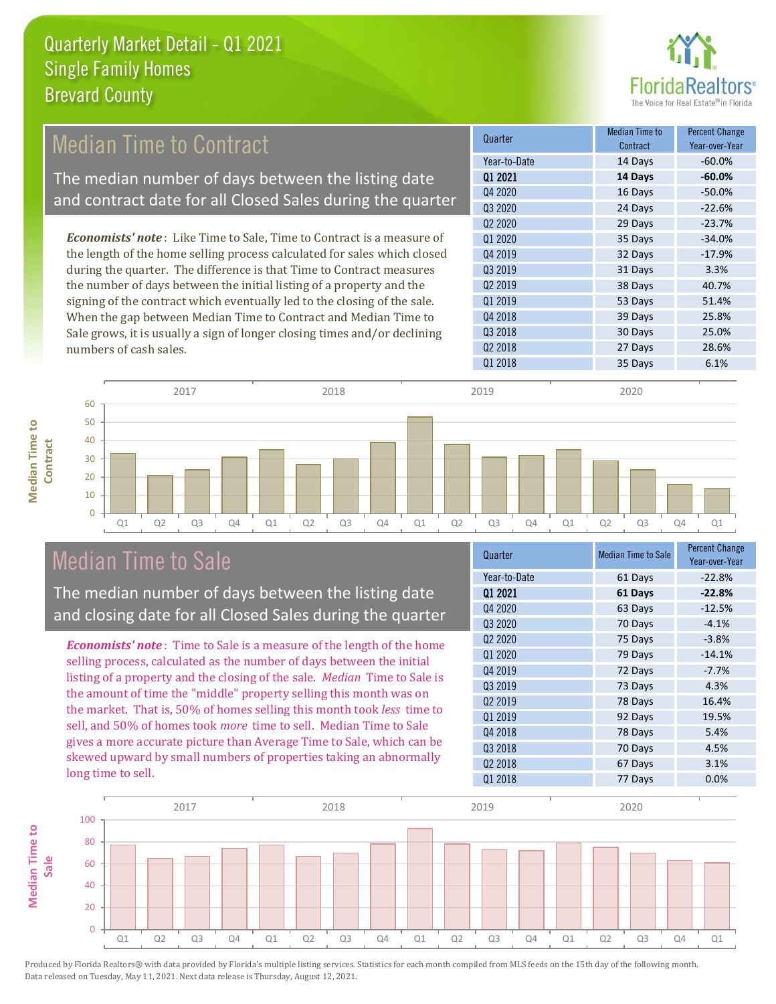

## Median Time to Contract

The median number of days between the listing date and contract date for all Closed Sales during the quarter

*Economists' note* : Like Time to Sale, Time to Contract is a measure of the length of the home selling process calculated for sales which closed during the quarter. The difference is that Time to Contract measures the number of days between the initial listing of a property and the signing of the contract which eventually led to the closing of the sale. When the gap between Median Time to Contract and Median Time to Sale grows, it is usually a sign of longer closing times and/or declining numbers of cash sales.

| Quarter             | <b>Median Time to</b><br>Contract | <b>Percent Change</b><br>Year-over-Year |
|---------------------|-----------------------------------|-----------------------------------------|
| Year-to-Date        | 14 Days                           | $-60.0%$                                |
| 01 2021             | 14 Days                           | $-60.0%$                                |
| 04 2020             | 16 Days                           | $-50.0%$                                |
| Q3 2020             | 24 Days                           | $-22.6%$                                |
| Q <sub>2</sub> 2020 | 29 Days                           | $-23.7%$                                |
| Q1 2020             | 35 Days                           | $-34.0%$                                |
| Q4 2019             | 32 Days                           | $-17.9%$                                |
| Q3 2019             | 31 Days                           | 3.3%                                    |
| Q <sub>2</sub> 2019 | 38 Days                           | 40.7%                                   |
| Q1 2019             | 53 Days                           | 51.4%                                   |
| Q4 2018             | 39 Days                           | 25.8%                                   |
| Q3 2018             | 30 Days                           | 25.0%                                   |
| Q <sub>2</sub> 2018 | 27 Days                           | 28.6%                                   |
| Q1 2018             | 35 Days                           | 6.1%                                    |

**Median Time to Median Time to Contract**



## Median Time to Sale

The median number of days between the listing date and closing date for all Closed Sales during the quarter

*Economists' note* : Time to Sale is a measure of the length of the home selling process, calculated as the number of days between the initial listing of a property and the closing of the sale. *Median* Time to Sale is the amount of time the "middle" property selling this month was on the market. That is, 50% of homes selling this month took *less* time to sell, and 50% of homes took *more* time to sell. Median Time to Sale gives a more accurate picture than Average Time to Sale, which can be skewed upward by small numbers of properties taking an abnormally long time to sell.

| Quarter                         | <b>Median Time to Sale</b> | <b>Percent Change</b><br>Year-over-Year |
|---------------------------------|----------------------------|-----------------------------------------|
| Year-to-Date                    | 61 Days                    | $-22.8%$                                |
| 01 2021                         | 61 Days                    | $-22.8%$                                |
| Q4 2020                         | 63 Days                    | $-12.5%$                                |
| Q3 2020                         | 70 Days                    | $-4.1%$                                 |
| Q <sub>2</sub> 20 <sub>20</sub> | 75 Days                    | $-3.8%$                                 |
| 01 2020                         | 79 Days                    | $-14.1%$                                |
| Q4 2019                         | 72 Days                    | $-7.7%$                                 |
| Q3 2019                         | 73 Days                    | 4.3%                                    |
| 02 2019                         | 78 Days                    | 16.4%                                   |
| Q1 2019                         | 92 Days                    | 19.5%                                   |
| Q4 2018                         | 78 Days                    | 5.4%                                    |
| Q3 2018                         | 70 Days                    | 4.5%                                    |
| Q <sub>2</sub> 2018             | 67 Days                    | 3.1%                                    |
| Q1 2018                         | 77 Days                    | 0.0%                                    |

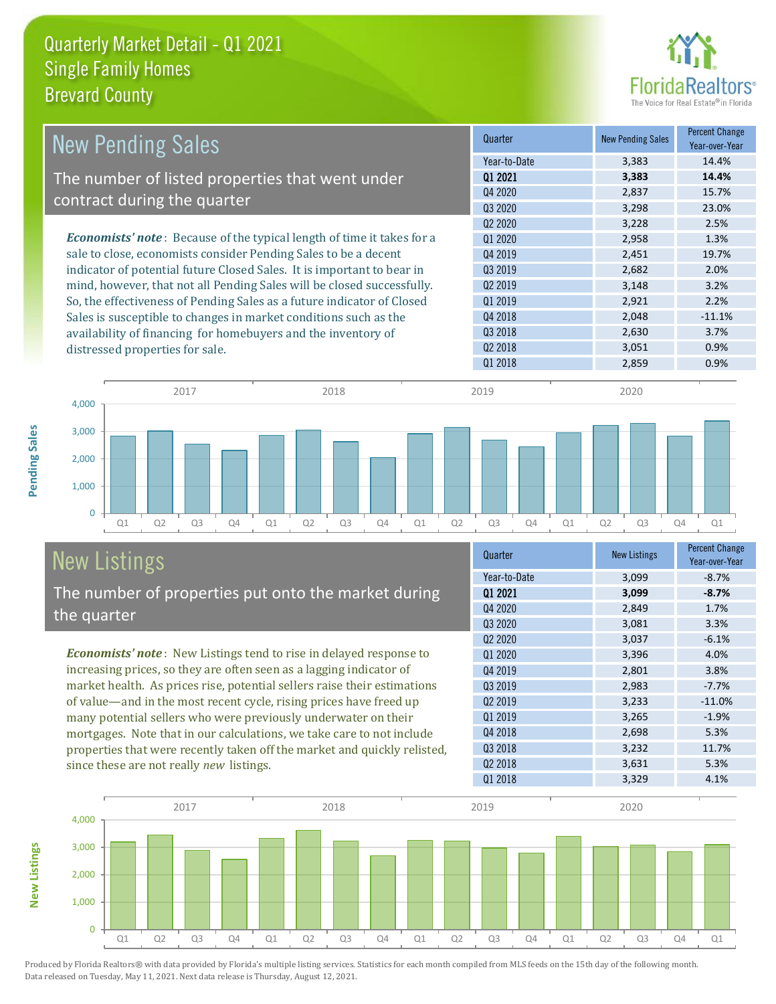

| <b>New Pending Sales</b>                                                      | Quarter             | <b>New Pending Sales</b> | <b>Percent Change</b><br>Year-over-Year |
|-------------------------------------------------------------------------------|---------------------|--------------------------|-----------------------------------------|
|                                                                               | Year-to-Date        | 3,383                    | 14.4%                                   |
| The number of listed properties that went under                               | 01 2021             | 3,383                    | 14.4%                                   |
|                                                                               | Q4 2020             | 2,837                    | 15.7%                                   |
| contract during the quarter                                                   | Q3 2020             | 3,298                    | 23.0%                                   |
|                                                                               | Q <sub>2</sub> 2020 | 3,228                    | 2.5%                                    |
| <b>Economists' note:</b> Because of the typical length of time it takes for a | 01 2020             | 2,958                    | 1.3%                                    |
| sale to close, economists consider Pending Sales to be a decent               | Q4 2019             | 2,451                    | 19.7%                                   |
| indicator of potential future Closed Sales. It is important to bear in        | Q3 2019             | 2,682                    | 2.0%                                    |
| mind, however, that not all Pending Sales will be closed successfully.        | 02 2019             | 3,148                    | 3.2%                                    |
| So, the effectiveness of Pending Sales as a future indicator of Closed        | Q1 2019             | 2,921                    | 2.2%                                    |
| Sales is susceptible to changes in market conditions such as the              | Q4 2018             | 2,048                    | $-11.1%$                                |
| availability of financing for homebuyers and the inventory of                 | Q3 2018             | 2,630                    | 3.7%                                    |
| distressed properties for sale.                                               | Q <sub>2</sub> 2018 | 3,051                    | 0.9%                                    |
|                                                                               | 01 2018             | 2,859                    | 0.9%                                    |

**New Listings**



# New Listings

The number of properties put onto the market during the quarter

*Economists' note* : New Listings tend to rise in delayed response to increasing prices, so they are often seen as a lagging indicator of market health. As prices rise, potential sellers raise their estimations of value—and in the most recent cycle, rising prices have freed up many potential sellers who were previously underwater on their mortgages. Note that in our calculations, we take care to not include properties that were recently taken off the market and quickly relisted, since these are not really *new* listings.

| Quarter                         | <b>New Listings</b> | <b>Percent Change</b><br>Year-over-Year |
|---------------------------------|---------------------|-----------------------------------------|
| Year-to-Date                    | 3,099               | $-8.7%$                                 |
| 01 2021                         | 3,099               | $-8.7%$                                 |
| Q4 2020                         | 2,849               | 1.7%                                    |
| Q3 2020                         | 3,081               | 3.3%                                    |
| Q <sub>2</sub> 20 <sub>20</sub> | 3,037               | $-6.1%$                                 |
| Q1 2020                         | 3,396               | 4.0%                                    |
| Q4 2019                         | 2,801               | 3.8%                                    |
| 03 2019                         | 2,983               | $-7.7%$                                 |
| 02 2019                         | 3,233               | $-11.0%$                                |
| Q1 2019                         | 3,265               | $-1.9%$                                 |
| Q4 2018                         | 2,698               | 5.3%                                    |
| Q3 2018                         | 3,232               | 11.7%                                   |
| Q <sub>2</sub> 2018             | 3,631               | 5.3%                                    |
| 01 2018                         | 3.329               | 4.1%                                    |

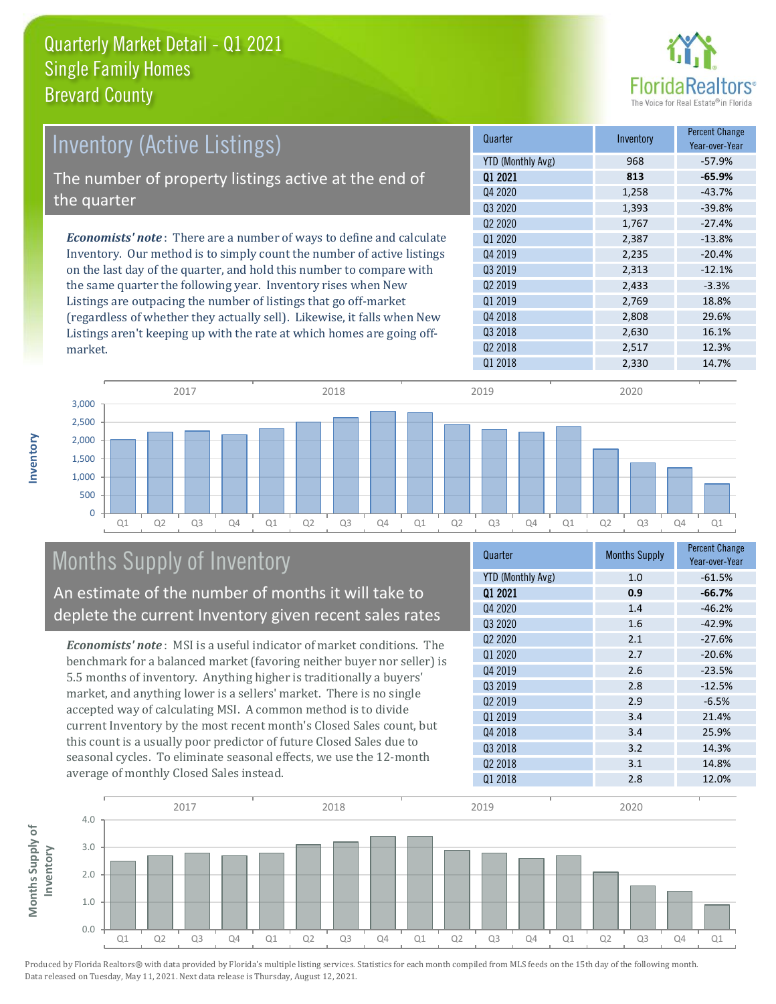

| <b>Inventory (Active Listings)</b>                                           | Quarter             | Inventory | <b>Percent Change</b><br>Year-over-Year |
|------------------------------------------------------------------------------|---------------------|-----------|-----------------------------------------|
|                                                                              | YTD (Monthly Avg)   | 968       | -57.9%                                  |
| The number of property listings active at the end of                         | 01 2021             | 813       | $-65.9%$                                |
|                                                                              | Q4 2020             | 1,258     | $-43.7%$                                |
| the quarter                                                                  | Q3 2020             | 1,393     | $-39.8%$                                |
|                                                                              | 02 2020             | 1.767     | $-27.4%$                                |
| <b>Economists' note</b> : There are a number of ways to define and calculate | 01 2020             | 2,387     | $-13.8%$                                |
| Inventory. Our method is to simply count the number of active listings       | Q4 2019             | 2.235     | $-20.4%$                                |
| on the last day of the quarter, and hold this number to compare with         | 03 2019             | 2.313     | $-12.1%$                                |
| the same quarter the following year. Inventory rises when New                | Q <sub>2</sub> 2019 | 2,433     | $-3.3%$                                 |
| Listings are outpacing the number of listings that go off-market             | 01 2019             | 2,769     | 18.8%                                   |
| (regardless of whether they actually sell). Likewise, it falls when New      | 04 2018             | 2.808     | 29.6%                                   |



## Months Supply of Inventory

An estimate of the number of months it will take to deplete the current Inventory given recent sales rates

Listings aren't keeping up with the rate at which homes are going off-

*Economists' note* : MSI is a useful indicator of market conditions. The benchmark for a balanced market (favoring neither buyer nor seller) is 5.5 months of inventory. Anything higher is traditionally a buyers' market, and anything lower is a sellers' market. There is no single accepted way of calculating MSI. A common method is to divide current Inventory by the most recent month's Closed Sales count, but this count is a usually poor predictor of future Closed Sales due to seasonal cycles. To eliminate seasonal effects, we use the 12-month average of monthly Closed Sales instead.

| Quarter                         | <b>Months Supply</b> | <b>Percent Change</b><br>Year-over-Year |
|---------------------------------|----------------------|-----------------------------------------|
| <b>YTD (Monthly Avg)</b>        | 1.0                  | $-61.5%$                                |
| 01 2021                         | 0.9                  | $-66.7%$                                |
| Q4 2020                         | 1.4                  | $-46.2%$                                |
| Q3 2020                         | 1.6                  | $-42.9%$                                |
| Q <sub>2</sub> 20 <sub>20</sub> | 2.1                  | $-27.6%$                                |
| Q1 2020                         | 2.7                  | $-20.6%$                                |
| Q4 2019                         | 2.6                  | $-23.5%$                                |
| Q3 2019                         | 2.8                  | $-12.5%$                                |
| 02 2019                         | 2.9                  | $-6.5%$                                 |
| Q1 2019                         | 3.4                  | 21.4%                                   |
| Q4 2018                         | 3.4                  | 25.9%                                   |
| Q3 2018                         | 3.2                  | 14.3%                                   |
| Q <sub>2</sub> 2018             | 3.1                  | 14.8%                                   |
| Q1 2018                         | 2.8                  | 12.0%                                   |

Q3 2018 2,630 16.1% Q2 2018 2,517 12.3%



Produced by Florida Realtors® with data provided by Florida's multiple listing services. Statistics for each month compiled from MLS feeds on the 15th day of the following month. Data released on Tuesday, May 11, 2021. Next data release is Thursday, August 12, 2021.

market.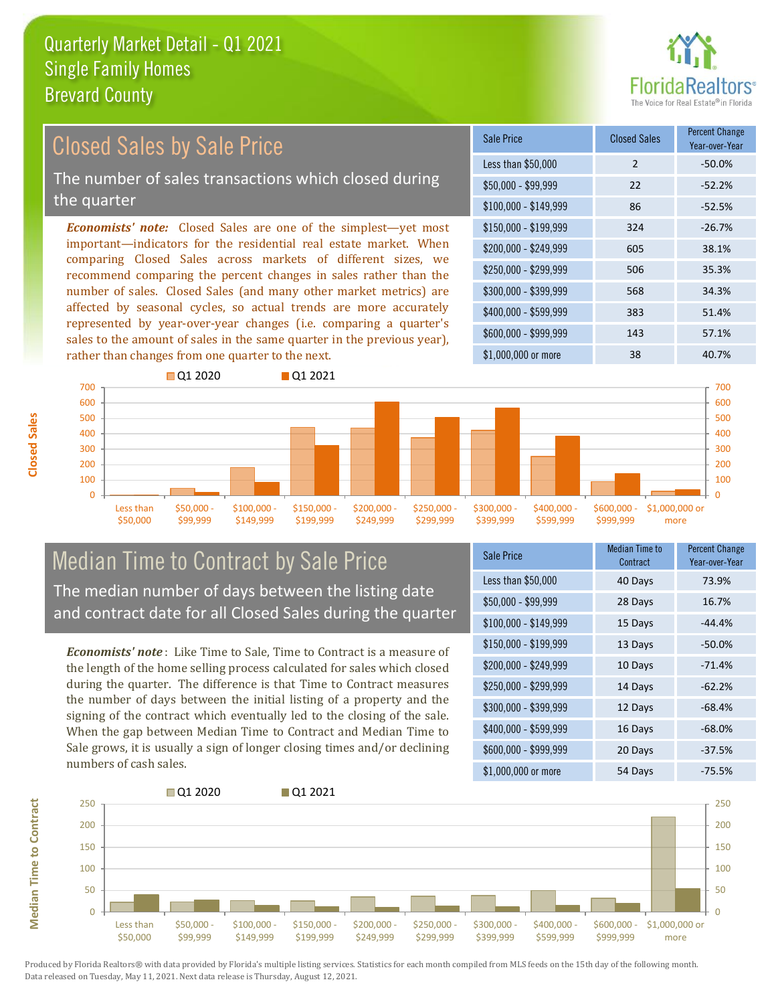

#### $$100,000 - $149,999$  86 -52.5% Sale Price Closed Sales Percent Change Year-over-Year Less than \$50,000 2 -50.0%  $$50.000 - $99.999$  22 -52.2% \$150,000 - \$199,999 324 -26.7% \$200,000 - \$249,999 605 38.1% \$400,000 - \$599,999 383 51.4% \$600,000 - \$999,999 143 57.1% *Economists' note:* Closed Sales are one of the simplest—yet most important—indicators for the residential real estate market. When comparing Closed Sales across markets of different sizes, we recommend comparing the percent changes in sales rather than the number of sales. Closed Sales (and many other market metrics) are affected by seasonal cycles, so actual trends are more accurately represented by year-over-year changes (i.e. comparing a quarter's sales to the amount of sales in the same quarter in the previous year), rather than changes from one quarter to the next. \$1,000,000 or more 38 38 40.7% \$250,000 - \$299,999 506 35.3% \$300,000 - \$399,999 568 34.3% **Q**1 2020 **Q** 01 2021 Closed Sales by Sale Price The number of sales transactions which closed during the quarter



## Median Time to Contract by Sale Price The median number of days between the listing date and contract date for all Closed Sales during the quarter

*Economists' note* : Like Time to Sale, Time to Contract is a measure of the length of the home selling process calculated for sales which closed during the quarter. The difference is that Time to Contract measures the number of days between the initial listing of a property and the signing of the contract which eventually led to the closing of the sale. When the gap between Median Time to Contract and Median Time to Sale grows, it is usually a sign of longer closing times and/or declining numbers of cash sales.

| <b>Sale Price</b>     | Median Time to<br>Contract | <b>Percent Change</b><br>Year-over-Year |
|-----------------------|----------------------------|-----------------------------------------|
| Less than \$50,000    | 40 Days                    | 73.9%                                   |
| $$50,000 - $99,999$   | 28 Days                    | 16.7%                                   |
| $$100,000 - $149,999$ | 15 Days                    | $-44.4%$                                |
| $$150,000 - $199,999$ | 13 Days                    | $-50.0%$                                |
| \$200,000 - \$249,999 | 10 Days                    | $-71.4%$                                |
| \$250,000 - \$299,999 | 14 Days                    | $-62.2%$                                |
| \$300,000 - \$399,999 | 12 Days                    | $-68.4%$                                |
| \$400,000 - \$599,999 | 16 Days                    | $-68.0%$                                |
| \$600,000 - \$999,999 | 20 Days                    | $-37.5%$                                |
| \$1,000,000 or more   | 54 Days                    | $-75.5%$                                |



Produced by Florida Realtors® with data provided by Florida's multiple listing services. Statistics for each month compiled from MLS feeds on the 15th day of the following month. Data released on Tuesday, May 11, 2021. Next data release is Thursday, August 12, 2021.

**Median Time to Contract**

**Median Time to Contract**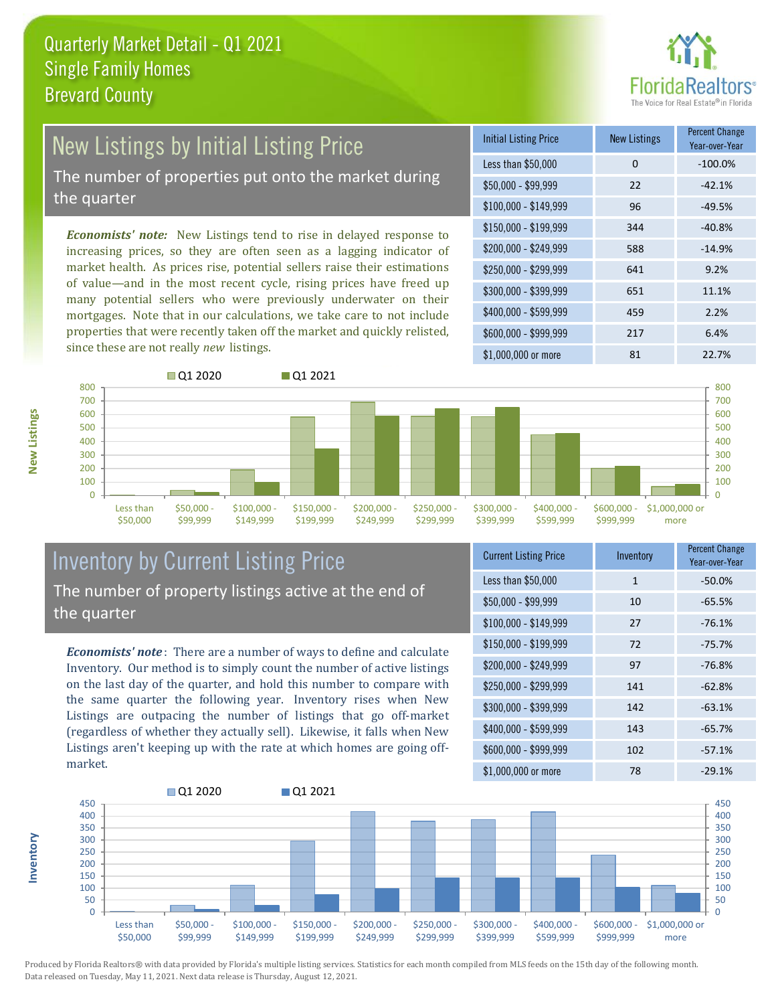

# New Listings by Initial Listing Price

The number of properties put onto the market during the quarter

*Economists' note:* New Listings tend to rise in delayed response to increasing prices, so they are often seen as a lagging indicator of market health. As prices rise, potential sellers raise their estimations of value—and in the most recent cycle, rising prices have freed up many potential sellers who were previously underwater on their mortgages. Note that in our calculations, we take care to not include properties that were recently taken off the market and quickly relisted, since these are not really *new* listings.





## Inventory by Current Listing Price The number of property listings active at the end of the quarter

*Economists' note* : There are a number of ways to define and calculate Inventory. Our method is to simply count the number of active listings on the last day of the quarter, and hold this number to compare with the same quarter the following year. Inventory rises when New Listings are outpacing the number of listings that go off-market (regardless of whether they actually sell). Likewise, it falls when New Listings aren't keeping up with the rate at which homes are going offmarket.

| <b>Current Listing Price</b> | Inventory    | <b>Percent Change</b><br>Year-over-Year |
|------------------------------|--------------|-----------------------------------------|
| Less than \$50,000           | $\mathbf{1}$ | $-50.0%$                                |
| $$50,000 - $99,999$          | 10           | $-65.5%$                                |
| $$100,000 - $149,999$        | 27           | $-76.1%$                                |
| \$150,000 - \$199,999        | 72           | $-75.7%$                                |
| \$200,000 - \$249,999        | 97           | $-76.8%$                                |
| \$250,000 - \$299,999        | 141          | $-62.8%$                                |
| \$300,000 - \$399,999        | 142          | $-63.1%$                                |
| \$400,000 - \$599,999        | 143          | $-65.7%$                                |
| \$600,000 - \$999,999        | 102          | $-57.1%$                                |
| \$1,000,000 or more          | 78           | $-29.1%$                                |



Produced by Florida Realtors® with data provided by Florida's multiple listing services. Statistics for each month compiled from MLS feeds on the 15th day of the following month. Data released on Tuesday, May 11, 2021. Next data release is Thursday, August 12, 2021.

**Inventory**